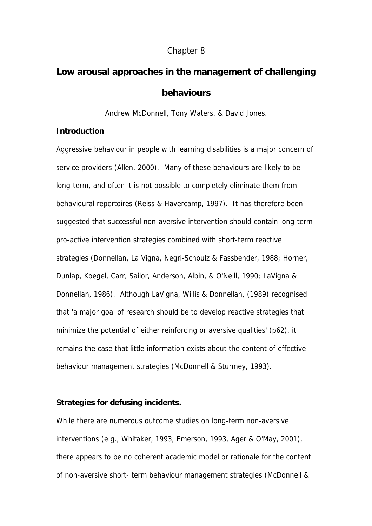# Chapter 8

# **Low arousal approaches in the management of challenging behaviours**

Andrew McDonnell, Tony Waters. & David Jones.

## **Introduction**

Aggressive behaviour in people with learning disabilities is a major concern of service providers (Allen, 2000). Many of these behaviours are likely to be long-term, and often it is not possible to completely eliminate them from behavioural repertoires (Reiss & Havercamp, 1997). It has therefore been suggested that successful non-aversive intervention should contain long-term pro-active intervention strategies combined with short-term reactive strategies (Donnellan, La Vigna, Negri-Schoulz & Fassbender, 1988; Horner, Dunlap, Koegel, Carr, Sailor, Anderson, Albin, & O'Neill, 1990; LaVigna & Donnellan, 1986). Although LaVigna, Willis & Donnellan, (1989) recognised that 'a major goal of research should be to develop reactive strategies that minimize the potential of either reinforcing or aversive qualities' (p62), it remains the case that little information exists about the content of effective behaviour management strategies (McDonnell & Sturmey, 1993).

# **Strategies for defusing incidents.**

While there are numerous outcome studies on long-term non-aversive interventions (e.g., Whitaker, 1993, Emerson, 1993, Ager & O'May, 2001), there appears to be no coherent academic model or rationale for the content of non-aversive short- term behaviour management strategies (McDonnell &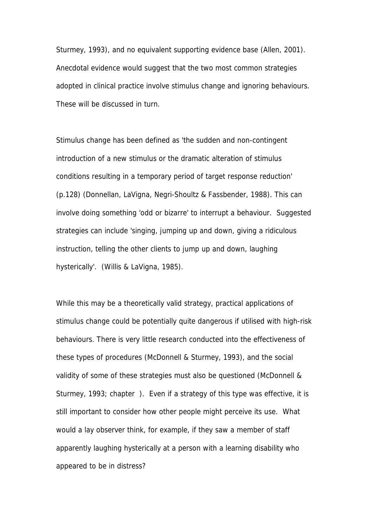Sturmey, 1993), and no equivalent supporting evidence base (Allen, 2001). Anecdotal evidence would suggest that the two most common strategies adopted in clinical practice involve stimulus change and ignoring behaviours. These will be discussed in turn.

Stimulus change has been defined as 'the sudden and non-contingent introduction of a new stimulus or the dramatic alteration of stimulus conditions resulting in a temporary period of target response reduction' (p.128) (Donnellan, LaVigna, Negri-Shoultz & Fassbender, 1988). This can involve doing something 'odd or bizarre' to interrupt a behaviour. Suggested strategies can include 'singing, jumping up and down, giving a ridiculous instruction, telling the other clients to jump up and down, laughing hysterically'. (Willis & LaVigna, 1985).

While this may be a theoretically valid strategy, practical applications of stimulus change could be potentially quite dangerous if utilised with high-risk behaviours. There is very little research conducted into the effectiveness of these types of procedures (McDonnell & Sturmey, 1993), and the social validity of some of these strategies must also be questioned (McDonnell & Sturmey, 1993; chapter ). Even if a strategy of this type was effective, it is still important to consider how other people might perceive its use. What would a lay observer think, for example, if they saw a member of staff apparently laughing hysterically at a person with a learning disability who appeared to be in distress?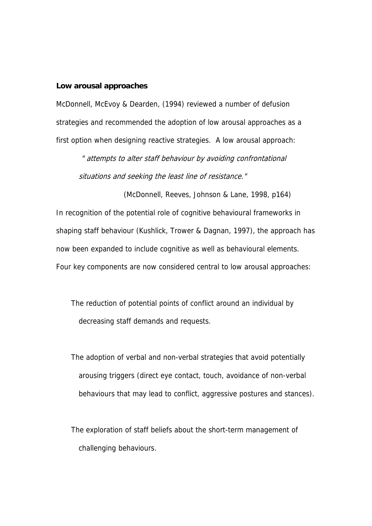#### **Low arousal approaches**

McDonnell, McEvoy & Dearden, (1994) reviewed a number of defusion strategies and recommended the adoption of low arousal approaches as a first option when designing reactive strategies. A low arousal approach:

 " attempts to alter staff behaviour by avoiding confrontational situations and seeking the least line of resistance."

(McDonnell, Reeves, Johnson & Lane, 1998, p164) In recognition of the potential role of cognitive behavioural frameworks in shaping staff behaviour (Kushlick, Trower & Dagnan, 1997), the approach has now been expanded to include cognitive as well as behavioural elements. Four key components are now considered central to low arousal approaches:

The reduction of potential points of conflict around an individual by decreasing staff demands and requests.

The adoption of verbal and non-verbal strategies that avoid potentially arousing triggers (direct eye contact, touch, avoidance of non-verbal behaviours that may lead to conflict, aggressive postures and stances).

The exploration of staff beliefs about the short-term management of challenging behaviours.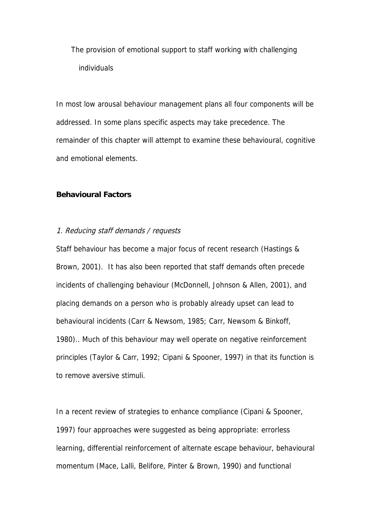The provision of emotional support to staff working with challenging individuals

In most low arousal behaviour management plans all four components will be addressed. In some plans specific aspects may take precedence. The remainder of this chapter will attempt to examine these behavioural, cognitive and emotional elements.

## **Behavioural Factors**

#### 1. Reducing staff demands / requests

Staff behaviour has become a major focus of recent research (Hastings & Brown, 2001). It has also been reported that staff demands often precede incidents of challenging behaviour (McDonnell, Johnson & Allen, 2001), and placing demands on a person who is probably already upset can lead to behavioural incidents (Carr & Newsom, 1985; Carr, Newsom & Binkoff, 1980).. Much of this behaviour may well operate on negative reinforcement principles (Taylor & Carr, 1992; Cipani & Spooner, 1997) in that its function is to remove aversive stimuli.

In a recent review of strategies to enhance compliance (Cipani & Spooner, 1997) four approaches were suggested as being appropriate: errorless learning, differential reinforcement of alternate escape behaviour, behavioural momentum (Mace, Lalli, Belifore, Pinter & Brown, 1990) and functional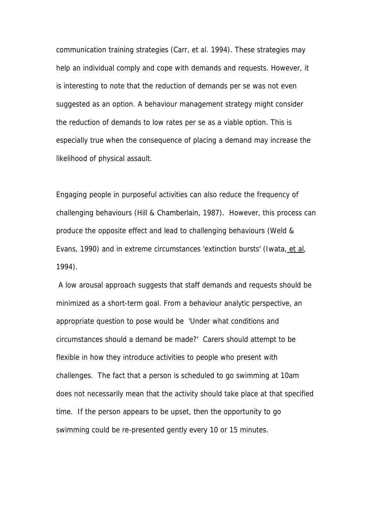communication training strategies (Carr, et al. 1994). These strategies may help an individual comply and cope with demands and requests. However, it is interesting to note that the reduction of demands per se was not even suggested as an option. A behaviour management strategy might consider the reduction of demands to low rates per se as a viable option. This is especially true when the consequence of placing a demand may increase the likelihood of physical assault.

Engaging people in purposeful activities can also reduce the frequency of challenging behaviours (Hill & Chamberlain, 1987). However, this process can produce the opposite effect and lead to challenging behaviours (Weld & Evans, 1990) and in extreme circumstances 'extinction bursts' (Iwata, et al, 1994).

 A low arousal approach suggests that staff demands and requests should be minimized as a short-term goal. From a behaviour analytic perspective, an appropriate question to pose would be 'Under what conditions and circumstances should a demand be made?' Carers should attempt to be flexible in how they introduce activities to people who present with challenges. The fact that a person is scheduled to go swimming at 10am does not necessarily mean that the activity should take place at that specified time. If the person appears to be upset, then the opportunity to go swimming could be re-presented gently every 10 or 15 minutes.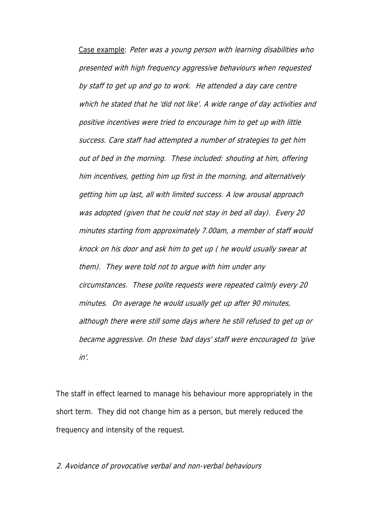Case example: Peter was a young person with learning disabilities who presented with high frequency aggressive behaviours when requested by staff to get up and go to work. He attended a day care centre which he stated that he 'did not like'. A wide range of day activities and positive incentives were tried to encourage him to get up with little success. Care staff had attempted a number of strategies to get him out of bed in the morning. These included: shouting at him, offering him incentives, getting him up first in the morning, and alternatively getting him up last, all with limited success. A low arousal approach was adopted (given that he could not stay in bed all day). Every 20 minutes starting from approximately 7.00am, a member of staff would knock on his door and ask him to get up ( he would usually swear at them). They were told not to argue with him under any circumstances. These polite requests were repeated calmly every 20 minutes. On average he would usually get up after 90 minutes, although there were still some days where he still refused to get up or became aggressive. On these 'bad days' staff were encouraged to 'give in'.

The staff in effect learned to manage his behaviour more appropriately in the short term. They did not change him as a person, but merely reduced the frequency and intensity of the request.

2. Avoidance of provocative verbal and non-verbal behaviours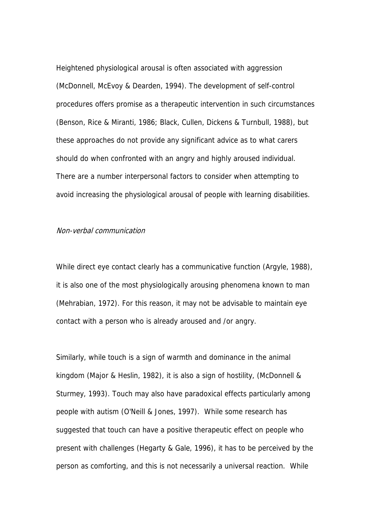Heightened physiological arousal is often associated with aggression (McDonnell, McEvoy & Dearden, 1994). The development of self-control procedures offers promise as a therapeutic intervention in such circumstances (Benson, Rice & Miranti, 1986; Black, Cullen, Dickens & Turnbull, 1988), but these approaches do not provide any significant advice as to what carers should do when confronted with an angry and highly aroused individual. There are a number interpersonal factors to consider when attempting to avoid increasing the physiological arousal of people with learning disabilities.

#### Non-verbal communication

While direct eye contact clearly has a communicative function (Argyle, 1988), it is also one of the most physiologically arousing phenomena known to man (Mehrabian, 1972). For this reason, it may not be advisable to maintain eye contact with a person who is already aroused and /or angry.

Similarly, while touch is a sign of warmth and dominance in the animal kingdom (Major & Heslin, 1982), it is also a sign of hostility, (McDonnell & Sturmey, 1993). Touch may also have paradoxical effects particularly among people with autism (O'Neill & Jones, 1997). While some research has suggested that touch can have a positive therapeutic effect on people who present with challenges (Hegarty & Gale, 1996), it has to be perceived by the person as comforting, and this is not necessarily a universal reaction. While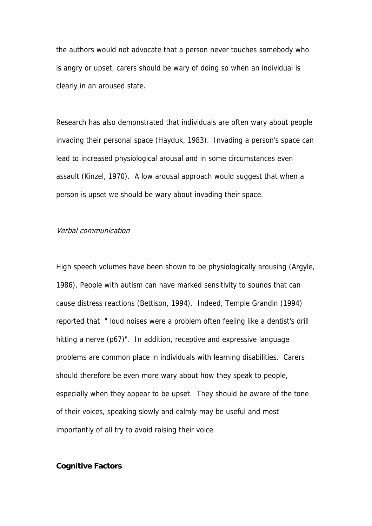the authors would not advocate that a person never touches somebody who is angry or upset, carers should be wary of doing so when an individual is clearly in an aroused state.

Research has also demonstrated that individuals are often wary about people invading their personal space (Hayduk, 1983). Invading a person's space can lead to increased physiological arousal and in some circumstances even assault (Kinzel, 1970). A low arousal approach would suggest that when a person is upset we should be wary about invading their space.

## Verbal communication

High speech volumes have been shown to be physiologically arousing (Argyle, 1986). People with autism can have marked sensitivity to sounds that can cause distress reactions (Bettison, 1994). Indeed, Temple Grandin (1994) reported that " loud noises were a problem often feeling like a dentist's drill hitting a nerve (p67)". In addition, receptive and expressive language problems are common place in individuals with learning disabilities. Carers should therefore be even more wary about how they speak to people, especially when they appear to be upset. They should be aware of the tone of their voices, speaking slowly and calmly may be useful and most importantly of all try to avoid raising their voice.

#### **Cognitive Factors**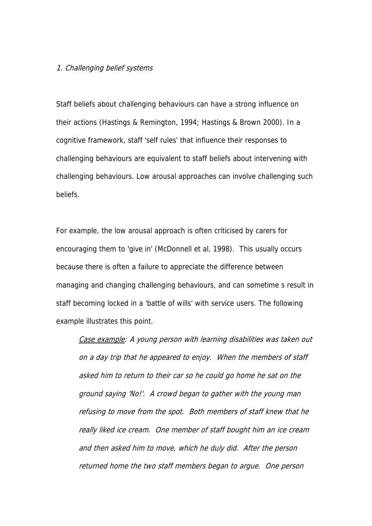#### 1. Challenging belief systems

Staff beliefs about challenging behaviours can have a strong influence on their actions (Hastings & Remington, 1994; Hastings & Brown 2000). In a cognitive framework, staff 'self rules' that influence their responses to challenging behaviours are equivalent to staff beliefs about intervening with challenging behaviours. Low arousal approaches can involve challenging such beliefs.

For example, the low arousal approach is often criticised by carers for encouraging them to 'give in' (McDonnell et al, 1998). This usually occurs because there is often a failure to appreciate the difference between managing and changing challenging behaviours, and can sometime s result in staff becoming locked in a 'battle of wills' with service users. The following example illustrates this point.

Case example: A young person with learning disabilities was taken out on a day trip that he appeared to enjoy. When the members of staff asked him to return to their car so he could go home he sat on the ground saying 'No!'. A crowd began to gather with the young man refusing to move from the spot. Both members of staff knew that he really liked ice cream. One member of staff bought him an ice cream and then asked him to move, which he duly did. After the person returned home the two staff members began to argue. One person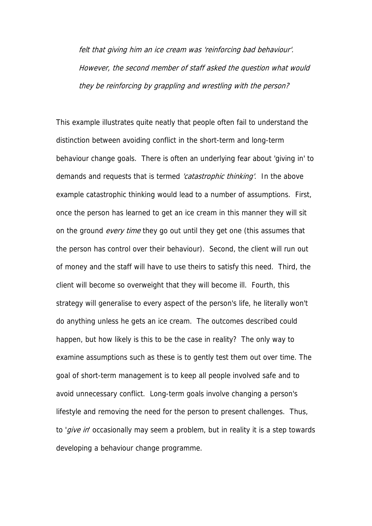felt that giving him an ice cream was 'reinforcing bad behaviour'. However, the second member of staff asked the question what would they be reinforcing by grappling and wrestling with the person?

This example illustrates quite neatly that people often fail to understand the distinction between avoiding conflict in the short-term and long-term behaviour change goals. There is often an underlying fear about 'giving in' to demands and requests that is termed 'catastrophic thinking'. In the above example catastrophic thinking would lead to a number of assumptions. First, once the person has learned to get an ice cream in this manner they will sit on the ground *every time* they go out until they get one (this assumes that the person has control over their behaviour). Second, the client will run out of money and the staff will have to use theirs to satisfy this need. Third, the client will become so overweight that they will become ill. Fourth, this strategy will generalise to every aspect of the person's life, he literally won't do anything unless he gets an ice cream. The outcomes described could happen, but how likely is this to be the case in reality? The only way to examine assumptions such as these is to gently test them out over time. The goal of short-term management is to keep all people involved safe and to avoid unnecessary conflict. Long-term goals involve changing a person's lifestyle and removing the need for the person to present challenges. Thus, to '*give in*' occasionally may seem a problem, but in reality it is a step towards developing a behaviour change programme.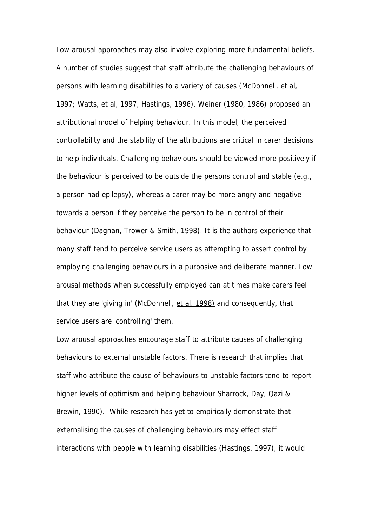Low arousal approaches may also involve exploring more fundamental beliefs. A number of studies suggest that staff attribute the challenging behaviours of persons with learning disabilities to a variety of causes (McDonnell, et al, 1997; Watts, et al, 1997, Hastings, 1996). Weiner (1980, 1986) proposed an attributional model of helping behaviour. In this model, the perceived controllability and the stability of the attributions are critical in carer decisions to help individuals. Challenging behaviours should be viewed more positively if the behaviour is perceived to be outside the persons control and stable (e.g., a person had epilepsy), whereas a carer may be more angry and negative towards a person if they perceive the person to be in control of their behaviour (Dagnan, Trower & Smith, 1998). It is the authors experience that many staff tend to perceive service users as attempting to assert control by employing challenging behaviours in a purposive and deliberate manner. Low arousal methods when successfully employed can at times make carers feel that they are 'giving in' (McDonnell, et al, 1998) and consequently, that service users are 'controlling' them.

Low arousal approaches encourage staff to attribute causes of challenging behaviours to external unstable factors. There is research that implies that staff who attribute the cause of behaviours to unstable factors tend to report higher levels of optimism and helping behaviour Sharrock, Day, Qazi & Brewin, 1990). While research has yet to empirically demonstrate that externalising the causes of challenging behaviours may effect staff interactions with people with learning disabilities (Hastings, 1997), it would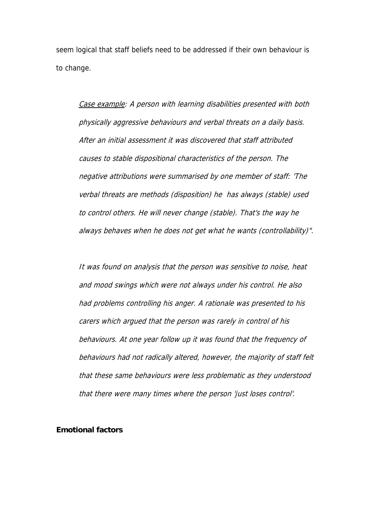seem logical that staff beliefs need to be addressed if their own behaviour is to change.

Case example: A person with learning disabilities presented with both physically aggressive behaviours and verbal threats on a daily basis. After an initial assessment it was discovered that staff attributed causes to stable dispositional characteristics of the person. The negative attributions were summarised by one member of staff: 'The verbal threats are methods (disposition) he has always (stable) used to control others. He will never change (stable). That's the way he always behaves when he does not get what he wants (controllability)".

behaviours. At one year follow up it was found that the frequency of It was found on analysis that the person was sensitive to noise, heat and mood swings which were not always under his control. He also had problems controlling his anger. A rationale was presented to his carers which argued that the person was rarely in control of his behaviours had not radically altered, however, the majority of staff felt that these same behaviours were less problematic as they understood that there were many times where the person 'just loses control'.

## **Emotional factors**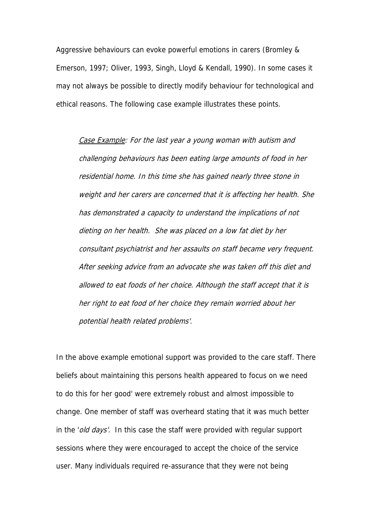Aggressive behaviours can evoke powerful emotions in carers (Bromley & Emerson, 1997; Oliver, 1993, Singh, Lloyd & Kendall, 1990). In some cases it may not always be possible to directly modify behaviour for technological and ethical reasons. The following case example illustrates these points.

Case Example: For the last year a young woman with autism and challenging behaviours has been eating large amounts of food in her residential home. In this time she has gained nearly three stone in weight and her carers are concerned that it is affecting her health. She has demonstrated a capacity to understand the implications of not dieting on her health. She was placed on a low fat diet by her consultant psychiatrist and her assaults on staff became very frequent. After seeking advice from an advocate she was taken off this diet and allowed to eat foods of her choice. Although the staff accept that it is her right to eat food of her choice they remain worried about her potential health related problems'.

In the above example emotional support was provided to the care staff. There beliefs about maintaining this persons health appeared to focus on we need to do this for her good' were extremely robust and almost impossible to change. One member of staff was overheard stating that it was much better in the 'old days'. In this case the staff were provided with regular support sessions where they were encouraged to accept the choice of the service user. Many individuals required re-assurance that they were not being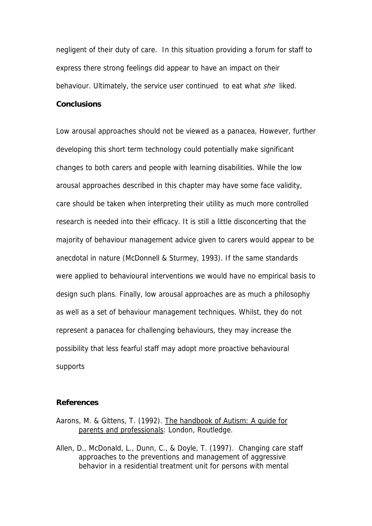negligent of their duty of care. In this situation providing a forum for staff to express there strong feelings did appear to have an impact on their behaviour. Ultimately, the service user continued to eat what *she* liked.

# **Conclusions**

Low arousal approaches should not be viewed as a panacea, However, further developing this short term technology could potentially make significant changes to both carers and people with learning disabilities. While the low arousal approaches described in this chapter may have some face validity, care should be taken when interpreting their utility as much more controlled research is needed into their efficacy. It is still a little disconcerting that the majority of behaviour management advice given to carers would appear to be anecdotal in nature (McDonnell & Sturmey, 1993). If the same standards were applied to behavioural interventions we would have no empirical basis to design such plans. Finally, low arousal approaches are as much a philosophy as well as a set of behaviour management techniques. Whilst, they do not represent a panacea for challenging behaviours, they may increase the possibility that less fearful staff may adopt more proactive behavioural supports

#### **References**

- Aarons, M. & Gittens, T. (1992). The handbook of Autism: A guide for parents and professionals: London, Routledge.
- Allen, D., McDonald, L., Dunn, C., & Doyle, T. (1997). Changing care staff approaches to the preventions and management of aggressive behavior in a residential treatment unit for persons with mental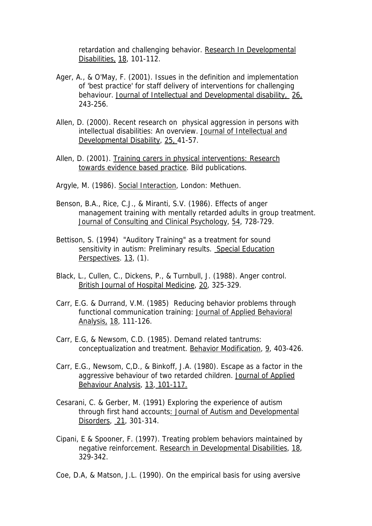retardation and challenging behavior. Research In Developmental Disabilities, 18, 101-112.

- Ager, A., & O'May, F. (2001). Issues in the definition and implementation of 'best practice' for staff delivery of interventions for challenging behaviour. Journal of Intellectual and Developmental disability, 26, 243-256.
- Allen, D. (2000). Recent research on physical aggression in persons with intellectual disabilities: An overview. Journal of Intellectual and Developmental Disability, 25, 41-57.
- Allen, D. (2001). Training carers in physical interventions: Research towards evidence based practice. Bild publications.
- Argyle, M. (1986). Social Interaction, London: Methuen.
- Benson, B.A., Rice, C.J., & Miranti, S.V. (1986). Effects of anger management training with mentally retarded adults in group treatment. Journal of Consulting and Clinical Psychology, 54, 728-729.
- Bettison, S. (1994) "Auditory Training" as a treatment for sound sensitivity in autism: Preliminary results. Special Education Perspectives. 13, (1).
- Black, L., Cullen, C., Dickens, P., & Turnbull, J. (1988). Anger control. British Journal of Hospital Medicine, 20, 325-329.
- Carr, E.G. & Durrand, V.M. (1985) Reducing behavior problems through functional communication training: Journal of Applied Behavioral Analysis, 18, 111-126.
- Carr, E.G, & Newsom, C.D. (1985). Demand related tantrums: conceptualization and treatment. Behavior Modification, 9, 403-426.
- Carr, E.G., Newsom, C,D., & Binkoff, J.A. (1980). Escape as a factor in the aggressive behaviour of two retarded children. Journal of Applied Behaviour Analysis, 13, 101-117.
- Cesarani, C. & Gerber, M. (1991) Exploring the experience of autism through first hand accounts: Journal of Autism and Developmental Disorders, 21, 301-314.
- Cipani, E & Spooner, F. (1997). Treating problem behaviors maintained by negative reinforcement. Research in Developmental Disabilities, 18, 329-342.
- Coe, D.A, & Matson, J.L. (1990). On the empirical basis for using aversive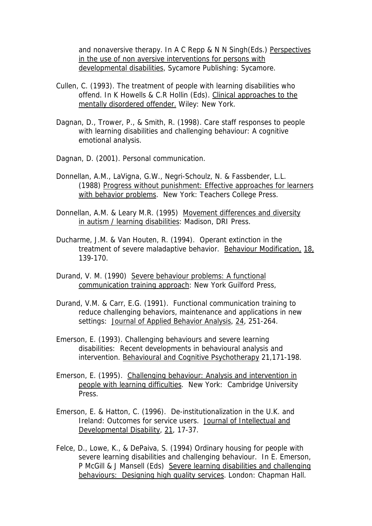and nonaversive therapy. In A C Repp & N N Singh(Eds.) Perspectives in the use of non aversive interventions for persons with developmental disabilities, Sycamore Publishing: Sycamore.

- Cullen, C. (1993). The treatment of people with learning disabilities who offend. In K Howells & C.R Hollin (Eds). Clinical approaches to the mentally disordered offender. Wiley: New York.
- Dagnan, D., Trower, P., & Smith, R. (1998). Care staff responses to people with learning disabilities and challenging behaviour: A cognitive emotional analysis.
- Dagnan, D. (2001). Personal communication.
- Donnellan, A.M., LaVigna, G.W., Negri-Schoulz, N. & Fassbender, L.L. (1988) Progress without punishment: Effective approaches for learners with behavior problems. New York: Teachers College Press.
- Donnellan, A.M. & Leary M.R. (1995) Movement differences and diversity in autism / learning disabilities: Madison, DRI Press.
- Ducharme, J.M. & Van Houten, R. (1994). Operant extinction in the treatment of severe maladaptive behavior. Behaviour Modification, 18, 139-170.
- Durand, V. M. (1990) Severe behaviour problems: A functional communication training approach: New York Guilford Press,
- Durand, V.M. & Carr, E.G. (1991). Functional communication training to reduce challenging behaviors, maintenance and applications in new settings: Journal of Applied Behavior Analysis, 24, 251-264.
- Emerson, E. (1993). Challenging behaviours and severe learning disabilities: Recent developments in behavioural analysis and intervention. Behavioural and Cognitive Psychotherapy 21,171-198.
- Emerson, E. (1995). Challenging behaviour: Analysis and intervention in people with learning difficulties. New York: Cambridge University Press.
- Emerson, E. & Hatton, C. (1996). De-institutionalization in the U.K. and Ireland: Outcomes for service users. Journal of Intellectual and Developmental Disability, 21, 17-37.
- Felce, D., Lowe, K., & DePaiva, S. (1994) Ordinary housing for people with severe learning disabilities and challenging behaviour. In E. Emerson, P McGill & J Mansell (Eds) Severe learning disabilities and challenging behaviours: Designing high quality services. London: Chapman Hall.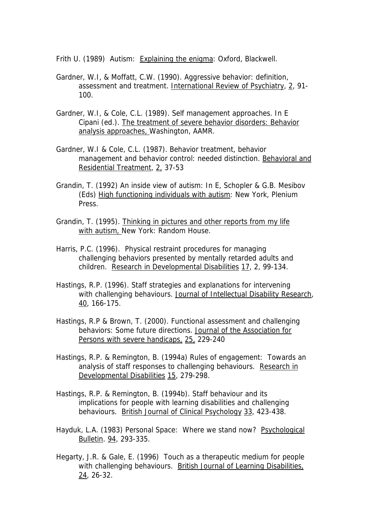Frith U. (1989) Autism: Explaining the enigma: Oxford, Blackwell.

- Gardner, W.I, & Moffatt, C.W. (1990). Aggressive behavior: definition, assessment and treatment. International Review of Psychiatry, 2, 91- 100.
- Gardner, W.I, & Cole, C.L. (1989). Self management approaches. In E Cipani (ed.). The treatment of severe behavior disorders: Behavior analysis approaches, Washington, AAMR.
- Gardner, W.I & Cole, C.L. (1987). Behavior treatment, behavior management and behavior control: needed distinction. Behavioral and Residential Treatment, 2, 37-53
- Grandin, T. (1992) An inside view of autism: In E, Schopler & G.B. Mesibov (Eds) High functioning individuals with autism: New York, Plenium **Press**
- Grandin, T. (1995). Thinking in pictures and other reports from my life with autism, New York: Random House.
- Harris, P.C. (1996). Physical restraint procedures for managing challenging behaviors presented by mentally retarded adults and children. Research in Developmental Disabilities 17, 2, 99-134.
- Hastings, R.P. (1996). Staff strategies and explanations for intervening with challenging behaviours. Journal of Intellectual Disability Research, 40, 166-175.
- Hastings, R.P & Brown, T. (2000). Functional assessment and challenging behaviors: Some future directions. Journal of the Association for Persons with severe handicaps, 25, 229-240
- Hastings, R.P. & Remington, B. (1994a) Rules of engagement: Towards an analysis of staff responses to challenging behaviours. Research in Developmental Disabilities 15, 279-298.
- Hastings, R.P. & Remington, B. (1994b). Staff behaviour and its implications for people with learning disabilities and challenging behaviours. British Journal of Clinical Psychology 33, 423-438.
- Hayduk, L.A. (1983) Personal Space: Where we stand now? Psychological Bulletin. 94, 293-335.
- Hegarty, J.R. & Gale, E. (1996) Touch as a therapeutic medium for people with challenging behaviours. British Journal of Learning Disabilities, 24, 26-32.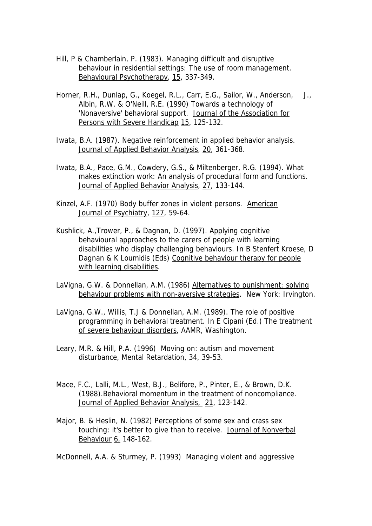- Hill, P & Chamberlain, P. (1983). Managing difficult and disruptive behaviour in residential settings: The use of room management. Behavioural Psychotherapy, 15, 337-349.
- Horner, R.H., Dunlap, G., Koegel, R.L., Carr, E.G., Sailor, W., Anderson, J., Albin, R.W. & O'Neill, R.E. (1990) Towards a technology of 'Nonaversive' behavioral support. Journal of the Association for Persons with Severe Handicap 15, 125-132.
- Iwata, B.A. (1987). Negative reinforcement in applied behavior analysis. Journal of Applied Behavior Analysis, 20, 361-368.
- Iwata, B.A., Pace, G.M., Cowdery, G.S., & Miltenberger, R.G. (1994). What makes extinction work: An analysis of procedural form and functions. Journal of Applied Behavior Analysis, 27, 133-144.
- Kinzel, A.F. (1970) Body buffer zones in violent persons. American Journal of Psychiatry, 127, 59-64.
- Kushlick, A.,Trower, P., & Dagnan, D. (1997). Applying cognitive behavioural approaches to the carers of people with learning disabilities who display challenging behaviours. In B Stenfert Kroese, D Dagnan & K Loumidis (Eds) Cognitive behaviour therapy for people with learning disabilities.
- LaVigna, G.W. & Donnellan, A.M. (1986) Alternatives to punishment: solving behaviour problems with non-aversive strategies. New York: Irvington.
- LaVigna, G.W., Willis, T.J & Donnellan, A.M. (1989). The role of positive programming in behavioral treatment. In E Cipani (Ed.) The treatment of severe behaviour disorders, AAMR, Washington.
- Leary, M.R. & Hill, P.A. (1996) Moving on: autism and movement disturbance, Mental Retardation, 34, 39-53.
- Mace, F.C., Lalli, M.L., West, B.J., Belifore, P., Pinter, E., & Brown, D.K. (1988).Behavioral momentum in the treatment of noncompliance. Journal of Applied Behavior Analysis, 21, 123-142.
- Major, B. & Heslin, N. (1982) Perceptions of some sex and crass sex touching: it's better to give than to receive. Journal of Nonverbal Behaviour 6, 148-162.

McDonnell, A.A. & Sturmey, P. (1993) Managing violent and aggressive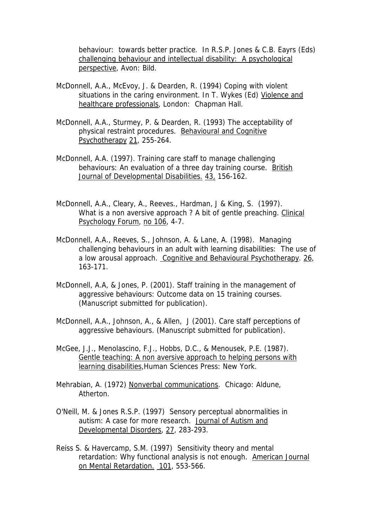behaviour: towards better practice. In R.S.P. Jones & C.B. Eayrs (Eds) challenging behaviour and intellectual disability: A psychological perspective, Avon: Bild.

- McDonnell, A.A., McEvoy, J. & Dearden, R. (1994) Coping with violent situations in the caring environment. In T. Wykes (Ed) Violence and healthcare professionals, London: Chapman Hall.
- McDonnell, A.A., Sturmey, P. & Dearden, R. (1993) The acceptability of physical restraint procedures. Behavioural and Cognitive Psychotherapy 21, 255-264.
- McDonnell, A.A. (1997). Training care staff to manage challenging behaviours: An evaluation of a three day training course. British Journal of Developmental Disabilities. 43, 156-162.
- McDonnell, A.A., Cleary, A., Reeves., Hardman, J & King, S. (1997). What is a non aversive approach ? A bit of gentle preaching. Clinical Psychology Forum, no 106, 4-7.
- McDonnell, A.A., Reeves, S., Johnson, A. & Lane, A. (1998). Managing challenging behaviours in an adult with learning disabilities: The use of a low arousal approach. Cognitive and Behavioural Psychotherapy. 26, 163-171.
- McDonnell, A.A, & Jones, P. (2001). Staff training in the management of aggressive behaviours: Outcome data on 15 training courses. (Manuscript submitted for publication).
- McDonnell, A.A., Johnson, A., & Allen, J (2001). Care staff perceptions of aggressive behaviours. (Manuscript submitted for publication).
- McGee, J.J., Menolascino, F.J., Hobbs, D.C., & Menousek, P.E. (1987). Gentle teaching: A non aversive approach to helping persons with learning disabilities,Human Sciences Press: New York.
- Mehrabian, A. (1972) Nonverbal communications. Chicago: Aldune, Atherton.
- O'Neill, M. & Jones R.S.P. (1997) Sensory perceptual abnormalities in autism: A case for more research. Journal of Autism and Developmental Disorders, 27, 283-293.
- Reiss S. & Havercamp, S.M. (1997) Sensitivity theory and mental retardation: Why functional analysis is not enough. American Journal on Mental Retardation. 101, 553-566.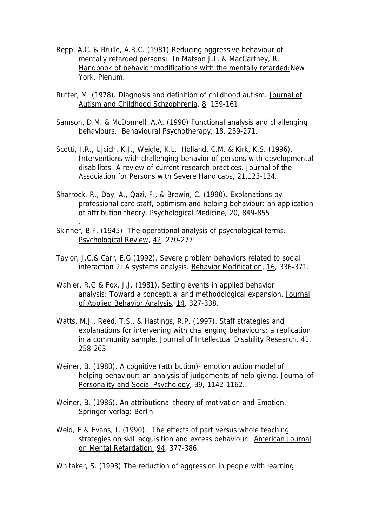- Repp, A.C. & Brulle, A.R.C. (1981) Reducing aggressive behaviour of mentally retarded persons: In Matson J.L. & MacCartney, R. Handbook of behavior modifications with the mentally retarded:New York, Plenum.
- Rutter, M. (1978). Diagnosis and definition of childhood autism. Journal of Autism and Childhood Schzophrenia, 8, 139-161.
- Samson, D.M. & McDonnell, A.A. (1990) Functional analysis and challenging behaviours. Behavioural Psychotherapy, 18, 259-271.
- Scotti, J.R., Ujcich, K.J., Weigle, K.L., Holland, C.M. & Kirk, K.S. (1996). Interventions with challenging behavior of persons with developmental disabilites: A review of current research practices. Journal of the Association for Persons with Severe Handicaps, 21,123-134.
- Sharrock, R., Day, A., Qazi, F., & Brewin, C. (1990). Explanations by professional care staff, optimism and helping behaviour: an application of attribution theory. Psychological Medicine, 20, 849-855
- Skinner, B.F. (1945). The operational analysis of psychological terms. Psychological Review, 42, 270-277.

.

- Taylor, J.C.& Carr, E.G.(1992). Severe problem behaviors related to social interaction 2: A systems analysis. Behavior Modification, 16, 336-371.
- Wahler, R.G & Fox, J.J. (1981). Setting events in applied behavior analysis: Toward a conceptual and methodological expansion. Journal of Applied Behavior Analysis, 14, 327-338.
- Watts, M.J., Reed, T.S., & Hastings, R.P. (1997). Staff strategies and explanations for intervening with challenging behaviours: a replication in a community sample. Journal of Intellectual Disability Research, 41, 258-263.
- Weiner, B. (1980). A cognitive (attribution)- emotion action model of helping behaviour: an analysis of judgements of help giving. Journal of Personality and Social Psychology, 39, 1142-1162.
- Weiner, B. (1986). An attributional theory of motivation and Emotion. Springer-verlag: Berlin.
- Weld, E & Evans, I. (1990). The effects of part versus whole teaching strategies on skill acquisition and excess behaviour. American Journal on Mental Retardation. 94, 377-386.

Whitaker, S. (1993) The reduction of aggression in people with learning